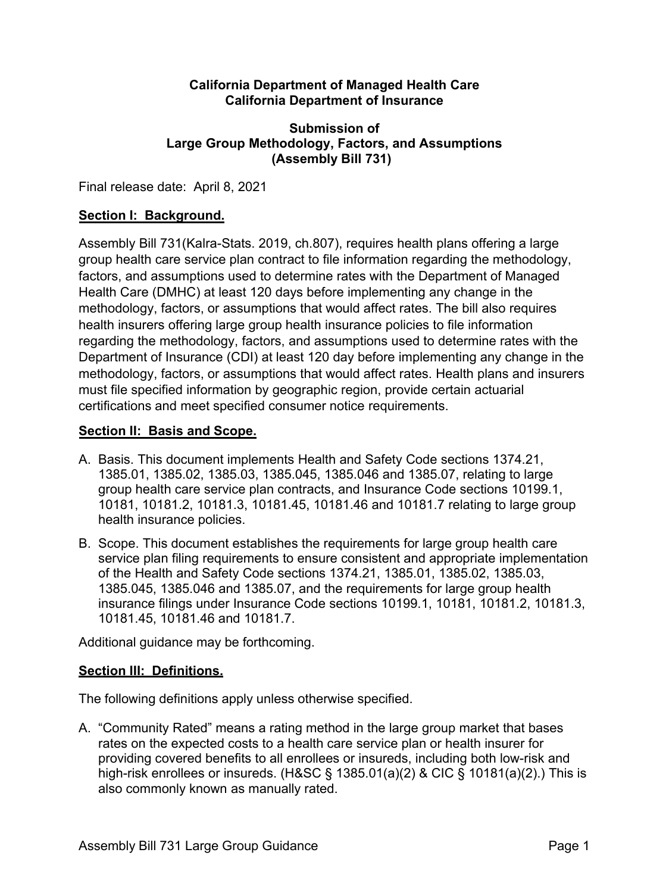#### **California Department of Managed Health Care California Department of Insurance**

# **Submission of Large Group Methodology, Factors, and Assumptions (Assembly Bill 731)**

Final release date: April 8, 2021

## **Section I: Background.**

Assembly Bill 731(Kalra-Stats. 2019, ch.807), requires health plans offering a large group health care service plan contract to file information regarding the methodology, factors, and assumptions used to determine rates with the Department of Managed Health Care (DMHC) at least 120 days before implementing any change in the methodology, factors, or assumptions that would affect rates. The bill also requires health insurers offering large group health insurance policies to file information regarding the methodology, factors, and assumptions used to determine rates with the Department of Insurance (CDI) at least 120 day before implementing any change in the methodology, factors, or assumptions that would affect rates. Health plans and insurers must file specified information by geographic region, provide certain actuarial certifications and meet specified consumer notice requirements.

### **Section II: Basis and Scope.**

- A. Basis. This document implements Health and Safety Code sections 1374.21, 1385.01, 1385.02, 1385.03, 1385.045, 1385.046 and 1385.07, relating to large group health care service plan contracts, and Insurance Code sections 10199.1, 10181, 10181.2, 10181.3, 10181.45, 10181.46 and 10181.7 relating to large group health insurance policies.
- B. Scope. This document establishes the requirements for large group health care service plan filing requirements to ensure consistent and appropriate implementation of the Health and Safety Code sections 1374.21, 1385.01, 1385.02, 1385.03, 1385.045, 1385.046 and 1385.07, and the requirements for large group health insurance filings under Insurance Code sections 10199.1, 10181, 10181.2, 10181.3, 10181.45, 10181.46 and 10181.7.

Additional guidance may be forthcoming.

# **Section III: Definitions.**

The following definitions apply unless otherwise specified.

A. "Community Rated" means a rating method in the large group market that bases rates on the expected costs to a health care service plan or health insurer for providing covered benefits to all enrollees or insureds, including both low-risk and high-risk enrollees or insureds. (H&SC § 1385.01(a)(2) & CIC § 10181(a)(2).) This is also commonly known as manually rated.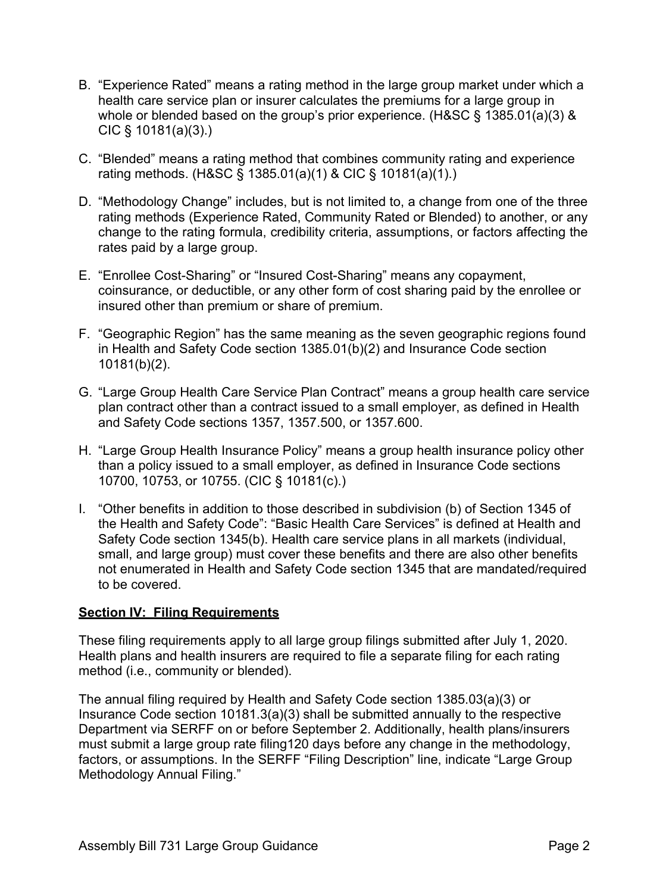- B. "Experience Rated" means a rating method in the large group market under which a health care service plan or insurer calculates the premiums for a large group in whole or blended based on the group's prior experience. (H&SC § 1385.01(a)(3) & CIC § 10181(a)(3).)
- C. "Blended" means a rating method that combines community rating and experience rating methods. (H&SC § 1385.01(a)(1) & CIC § 10181(a)(1).)
- D. "Methodology Change" includes, but is not limited to, a change from one of the three rating methods (Experience Rated, Community Rated or Blended) to another, or any change to the rating formula, credibility criteria, assumptions, or factors affecting the rates paid by a large group.
- E. "Enrollee Cost-Sharing" or "Insured Cost-Sharing" means any copayment, coinsurance, or deductible, or any other form of cost sharing paid by the enrollee or insured other than premium or share of premium.
- F. "Geographic Region" has the same meaning as the seven geographic regions found in Health and Safety Code section 1385.01(b)(2) and Insurance Code section 10181(b)(2).
- G. "Large Group Health Care Service Plan Contract" means a group health care service plan contract other than a contract issued to a small employer, as defined in Health and Safety Code sections 1357, 1357.500, or 1357.600.
- H. "Large Group Health Insurance Policy" means a group health insurance policy other than a policy issued to a small employer, as defined in Insurance Code sections 10700, 10753, or 10755. (CIC § 10181(c).)
- I. "Other benefits in addition to those described in subdivision (b) of Section 1345 of the Health and Safety Code": "Basic Health Care Services" is defined at Health and Safety Code section 1345(b). Health care service plans in all markets (individual, small, and large group) must cover these benefits and there are also other benefits not enumerated in Health and Safety Code section 1345 that are mandated/required to be covered.

# **Section IV: Filing Requirements**

These filing requirements apply to all large group filings submitted after July 1, 2020. Health plans and health insurers are required to file a separate filing for each rating method (i.e., community or blended).

The annual filing required by Health and Safety Code section 1385.03(a)(3) or Insurance Code section 10181.3(a)(3) shall be submitted annually to the respective Department via SERFF on or before September 2. Additionally, health plans/insurers must submit a large group rate filing120 days before any change in the methodology, factors, or assumptions. In the SERFF "Filing Description" line, indicate "Large Group Methodology Annual Filing."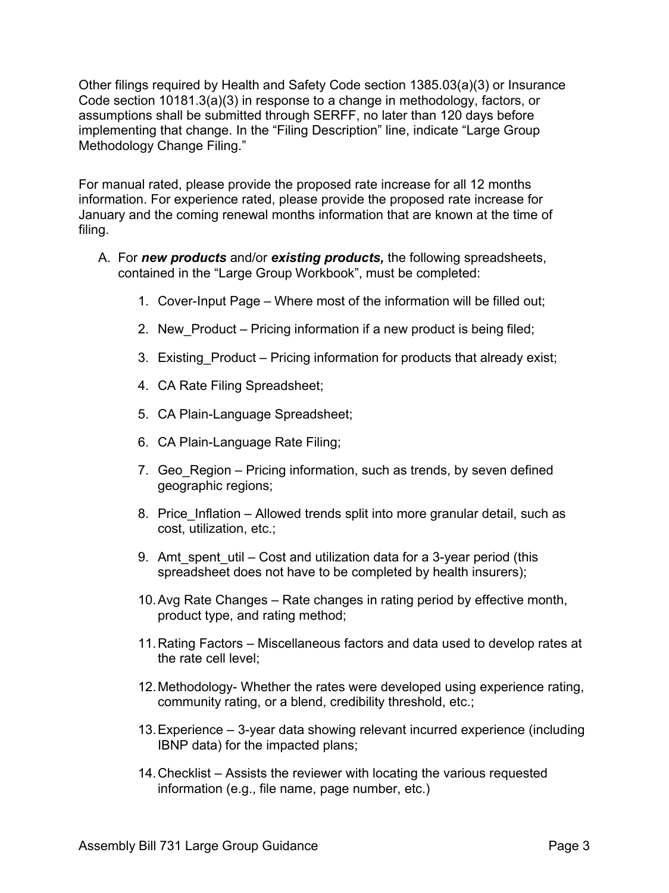Other filings required by Health and Safety Code section 1385.03(a)(3) or Insurance Code section 10181.3(a)(3) in response to a change in methodology, factors, or assumptions shall be submitted through SERFF, no later than 120 days before implementing that change. In the "Filing Description" line, indicate "Large Group Methodology Change Filing."

For manual rated, please provide the proposed rate increase for all 12 months information. For experience rated, please provide the proposed rate increase for January and the coming renewal months information that are known at the time of filing.

- A. For *new products* and/or *existing products,* the following spreadsheets, contained in the "Large Group Workbook", must be completed:
	- 1. Cover-Input Page Where most of the information will be filled out;
	- 2. New Product Pricing information if a new product is being filed;
	- 3. Existing Product Pricing information for products that already exist;
	- 4. CA Rate Filing Spreadsheet;
	- 5. CA Plain-Language Spreadsheet;
	- 6. CA Plain-Language Rate Filing;
	- 7. Geo Region Pricing information, such as trends, by seven defined geographic regions;
	- 8. Price Inflation Allowed trends split into more granular detail, such as cost, utilization, etc.;
	- 9. Amt spent util Cost and utilization data for a 3-year period (this spreadsheet does not have to be completed by health insurers);
	- 10.Avg Rate Changes Rate changes in rating period by effective month, product type, and rating method;
	- 11.Rating Factors Miscellaneous factors and data used to develop rates at the rate cell level;
	- 12.Methodology- Whether the rates were developed using experience rating, community rating, or a blend, credibility threshold, etc.;
	- 13.Experience 3-year data showing relevant incurred experience (including IBNP data) for the impacted plans;
	- 14.Checklist Assists the reviewer with locating the various requested information (e.g., file name, page number, etc.)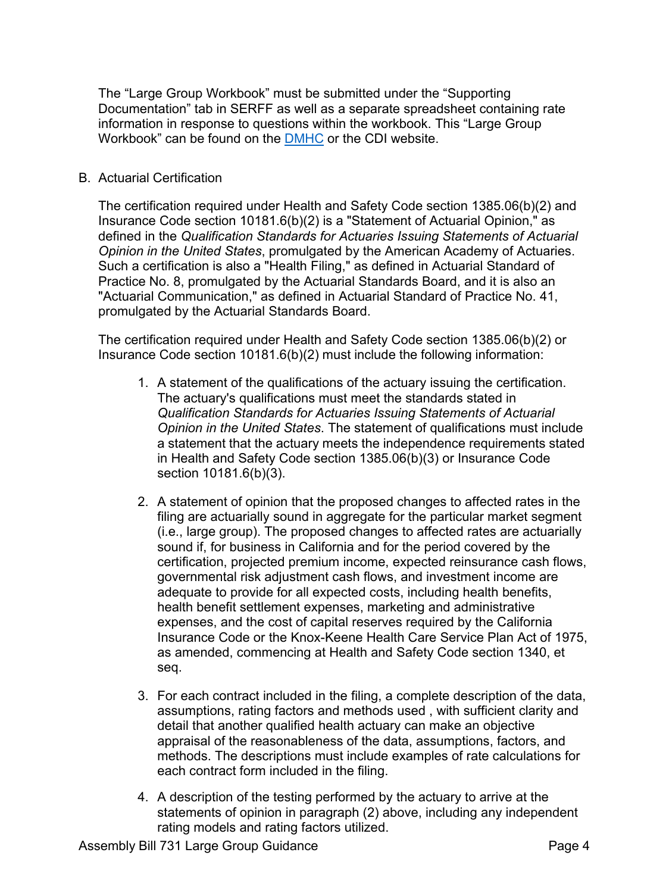The "Large Group Workbook" must be submitted under the "Supporting Documentation" tab in SERFF as well as a separate spreadsheet containing rate information in response to questions within the workbook. This "Large Group Workbook" can be found on the [DMHC](https://www.dmhc.ca.gov/LicensingReporting/SubmitFinancialReports.aspx#rate) or the CDI website.

#### B. Actuarial Certification

The certification required under Health and Safety Code section 1385.06(b)(2) and Insurance Code section 10181.6(b)(2) is a "Statement of Actuarial Opinion," as defined in the *Qualification Standards for Actuaries Issuing Statements of Actuarial Opinion in the United States*, promulgated by the American Academy of Actuaries. Such a certification is also a "Health Filing," as defined in Actuarial Standard of Practice No. 8, promulgated by the Actuarial Standards Board, and it is also an "Actuarial Communication," as defined in Actuarial Standard of Practice No. 41, promulgated by the Actuarial Standards Board.

The certification required under Health and Safety Code section 1385.06(b)(2) or Insurance Code section 10181.6(b)(2) must include the following information:

- 1. A statement of the qualifications of the actuary issuing the certification. The actuary's qualifications must meet the standards stated in *Qualification Standards for Actuaries Issuing Statements of Actuarial Opinion in the United States*. The statement of qualifications must include a statement that the actuary meets the independence requirements stated in Health and Safety Code section 1385.06(b)(3) or Insurance Code section 10181.6(b)(3).
- 2. A statement of opinion that the proposed changes to affected rates in the filing are actuarially sound in aggregate for the particular market segment (i.e., large group). The proposed changes to affected rates are actuarially sound if, for business in California and for the period covered by the certification, projected premium income, expected reinsurance cash flows, governmental risk adjustment cash flows, and investment income are adequate to provide for all expected costs, including health benefits, health benefit settlement expenses, marketing and administrative expenses, and the cost of capital reserves required by the California Insurance Code or the Knox-Keene Health Care Service Plan Act of 1975, as amended, commencing at Health and Safety Code section 1340, et seq.
- 3. For each contract included in the filing, a complete description of the data, assumptions, rating factors and methods used , with sufficient clarity and detail that another qualified health actuary can make an objective appraisal of the reasonableness of the data, assumptions, factors, and methods. The descriptions must include examples of rate calculations for each contract form included in the filing.
- 4. A description of the testing performed by the actuary to arrive at the statements of opinion in paragraph (2) above, including any independent rating models and rating factors utilized.